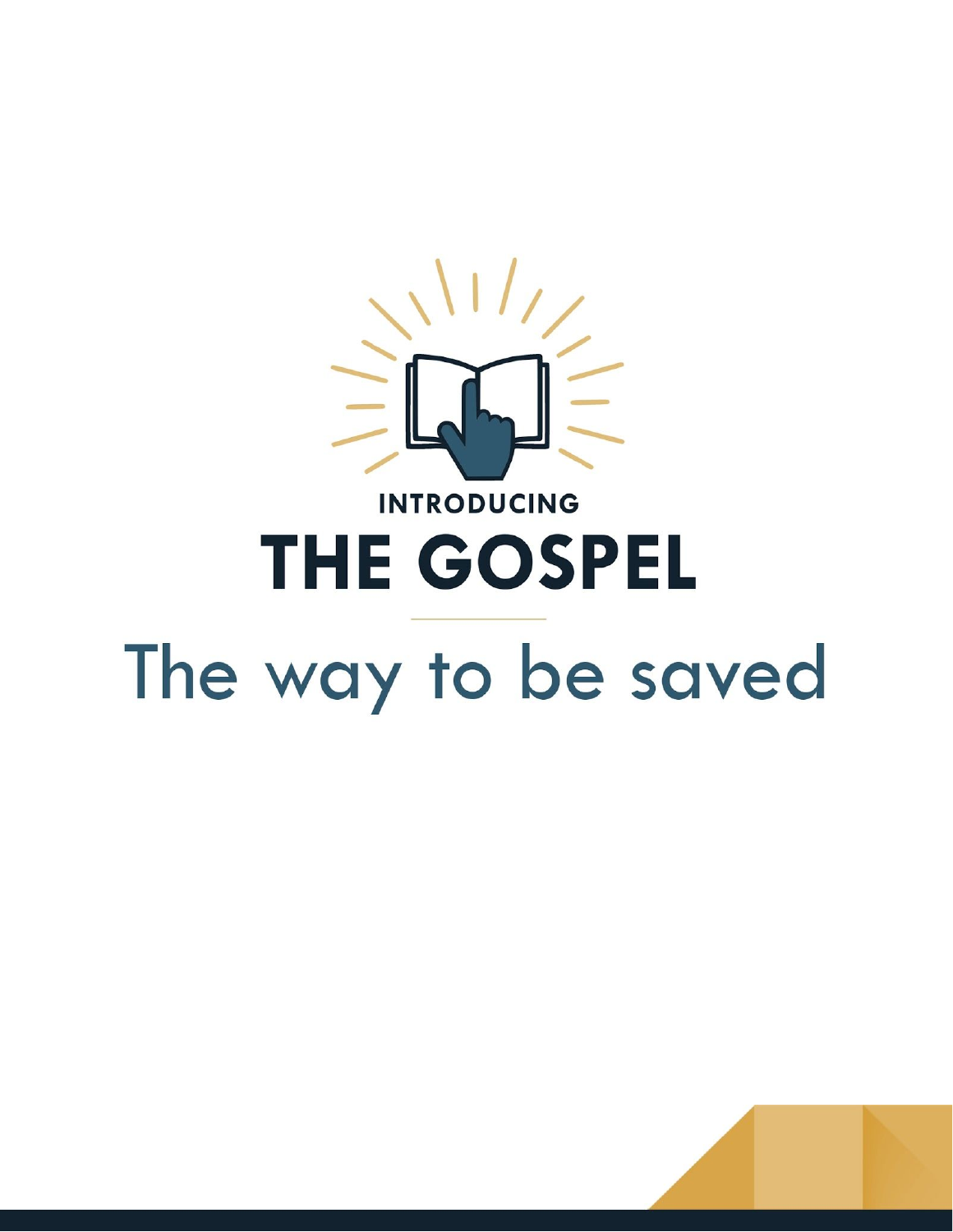

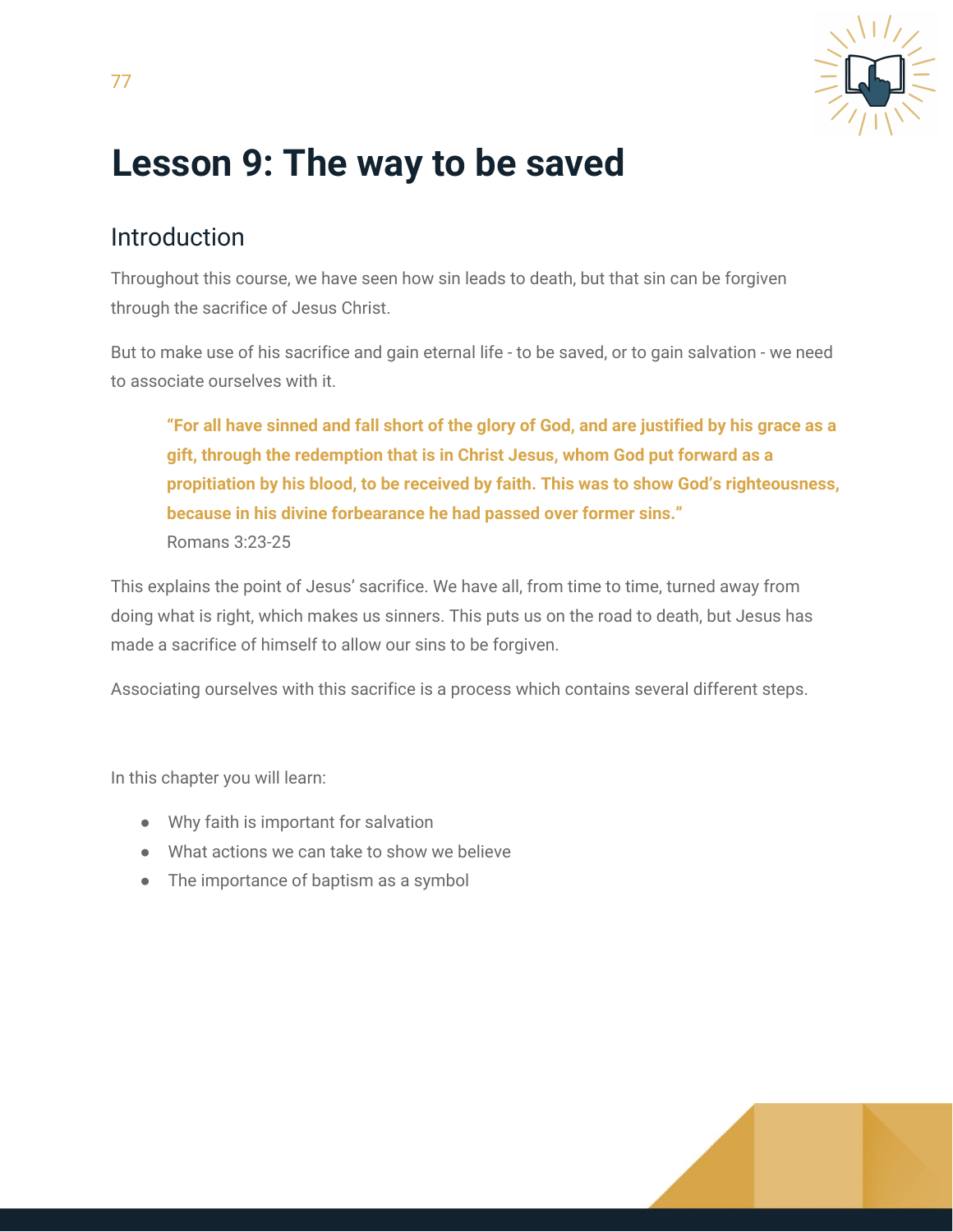

# **Lesson 9: The way to be saved**

#### Introduction

Throughout this course, we have seen how sin leads to death, but that sin can be forgiven through the sacrifice of Jesus Christ.

But to make use of his sacrifice and gain eternal life - to be saved, or to gain salvation - we need to associate ourselves with it.

"For all have sinned and fall short of the glory of God, and are justified by his grace as a **gift, through the redemption that is in Christ Jesus, whom God put forward as a propitiation by his blood, to be received by faith. This was to show God's righteousness, because in his divine forbearance he had passed over former sins."** Romans 3:23-25

This explains the point of Jesus' sacrifice. We have all, from time to time, turned away from doing what is right, which makes us sinners. This puts us on the road to death, but Jesus has made a sacrifice of himself to allow our sins to be forgiven.

Associating ourselves with this sacrifice is a process which contains several different steps.

In this chapter you will learn:

- Why faith is important for salvation
- What actions we can take to show we believe
- The importance of baptism as a symbol

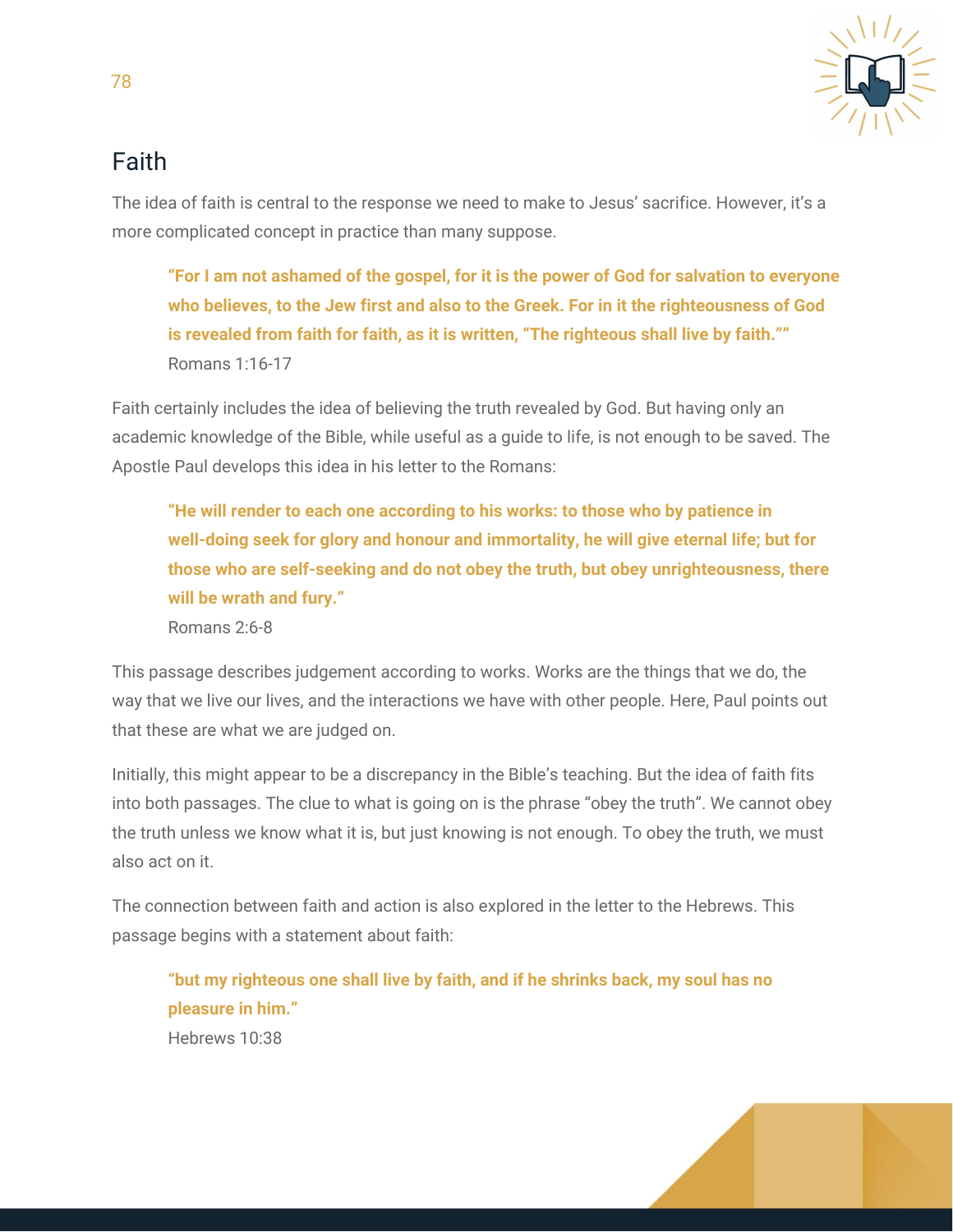

## Faith

The idea of faith is central to the response we need to make to Jesus' sacrifice. However, it's a more complicated concept in practice than many suppose.

**"For I am not ashamed of the gospel, for it is the power of God for salvation to everyone who believes, to the Jew first and also to the Greek. For in it the righteousness of God is revealed from faith for faith, as it is written, "The righteous shall live by faith.""** Romans 1:16-17

Faith certainly includes the idea of believing the truth revealed by God. But having only an academic knowledge of the Bible, while useful as a guide to life, is not enough to be saved. The Apostle Paul develops this idea in his letter to the Romans:

**"He will render to each one according to his works: to those who by patience in well-doing seek for glory and honour and immortality, he will give eternal life; but for those who are self-seeking and do not obey the truth, but obey unrighteousness, there will be wrath and fury."**

Romans 2:6-8

This passage describes judgement according to works. Works are the things that we do, the way that we live our lives, and the interactions we have with other people. Here, Paul points out that these are what we are judged on.

Initially, this might appear to be a discrepancy in the Bible's teaching. But the idea of faith fits into both passages. The clue to what is going on is the phrase "obey the truth". We cannot obey the truth unless we know what it is, but just knowing is not enough. To obey the truth, we must also act on it.

The connection between faith and action is also explored in the letter to the Hebrews. This passage begins with a statement about faith:

**"but my righteous one shall live by faith, and if he shrinks back, my soul has no pleasure in him."** Hebrews 10:38

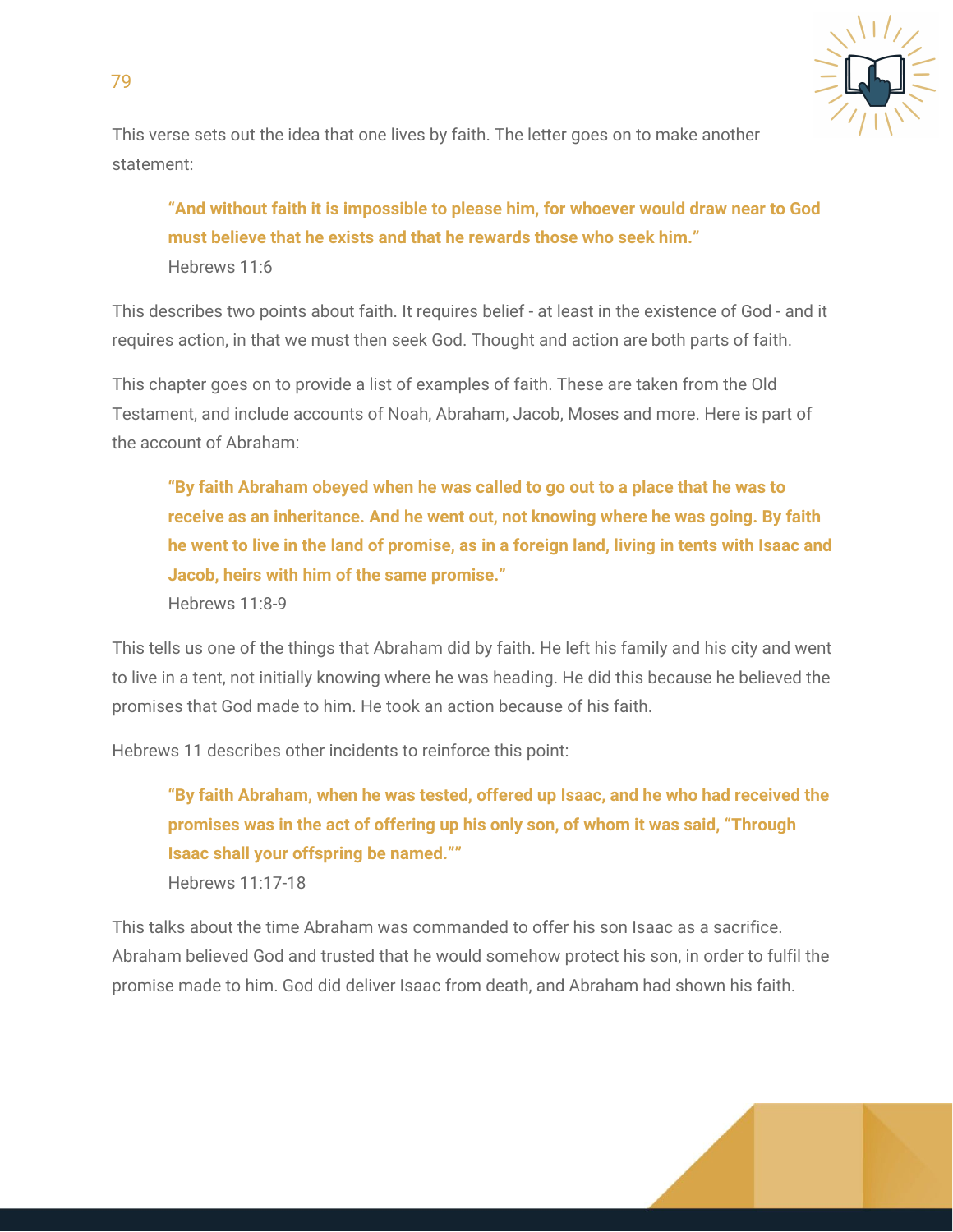

This verse sets out the idea that one lives by faith. The letter goes on to make another statement:

**"And without faith it is impossible to please him, for whoever would draw near to God must believe that he exists and that he rewards those who seek him."** Hebrews 11:6

This describes two points about faith. It requires belief - at least in the existence of God - and it requires action, in that we must then seek God. Thought and action are both parts of faith.

This chapter goes on to provide a list of examples of faith. These are taken from the Old Testament, and include accounts of Noah, Abraham, Jacob, Moses and more. Here is part of the account of Abraham:

**"By faith Abraham obeyed when he was called to go out to a place that he was to receive as an inheritance. And he went out, not knowing where he was going. By faith** he went to live in the land of promise, as in a foreign land, living in tents with Isaac and **Jacob, heirs with him of the same promise."**

Hebrews 11:8-9

79

This tells us one of the things that Abraham did by faith. He left his family and his city and went to live in a tent, not initially knowing where he was heading. He did this because he believed the promises that God made to him. He took an action because of his faith.

Hebrews 11 describes other incidents to reinforce this point:

**"By faith Abraham, when he was tested, offered up Isaac, and he who had received the promises was in the act of offering up his only son, of whom it was said, "Through Isaac shall your offspring be named.""** Hebrews 11:17-18

This talks about the time Abraham was commanded to offer his son Isaac as a sacrifice. Abraham believed God and trusted that he would somehow protect his son, in order to fulfil the promise made to him. God did deliver Isaac from death, and Abraham had shown his faith.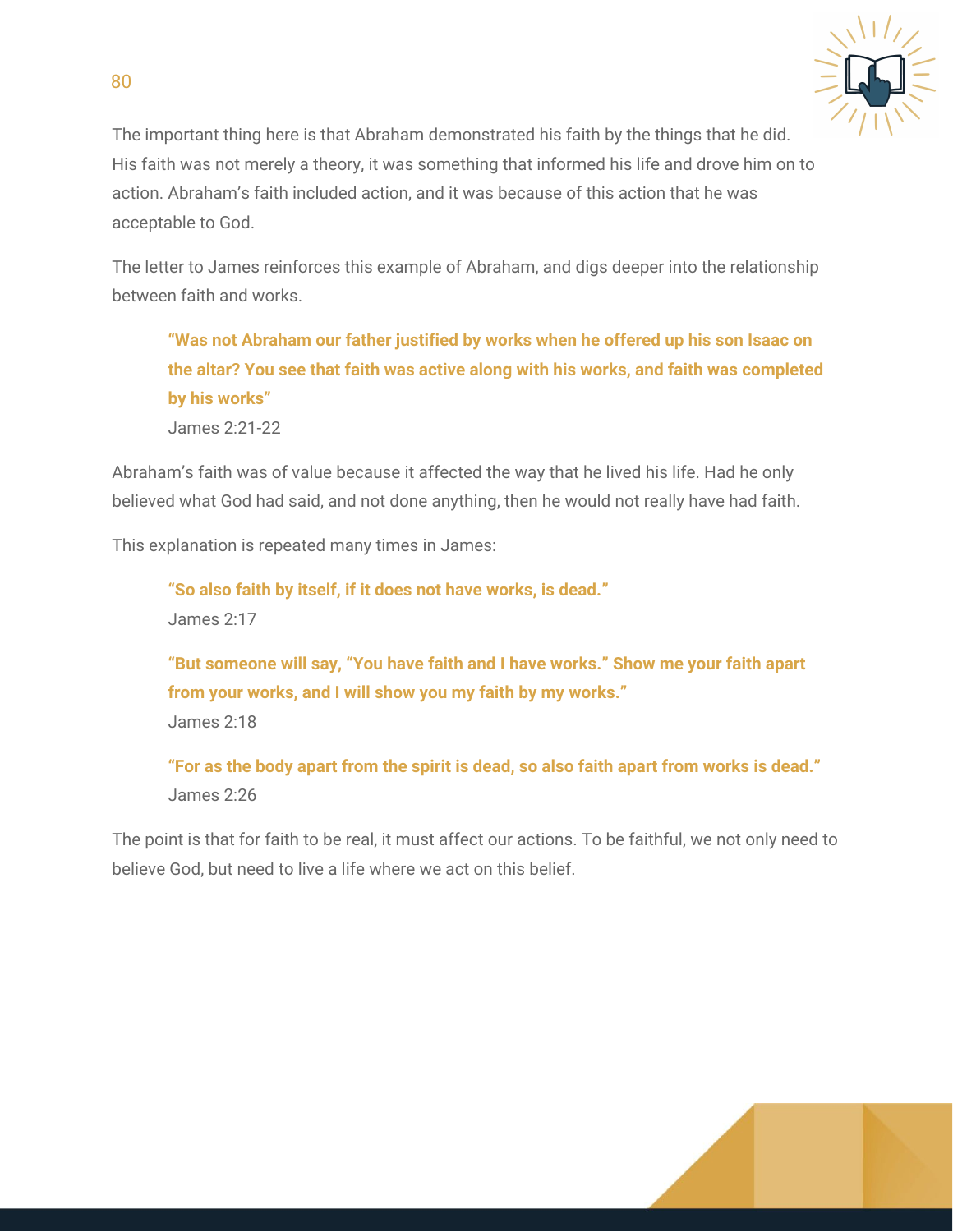

The important thing here is that Abraham demonstrated his faith by the things that he did. His faith was not merely a theory, it was something that informed his life and drove him on to action. Abraham's faith included action, and it was because of this action that he was acceptable to God.

The letter to James reinforces this example of Abraham, and digs deeper into the relationship between faith and works.

**"Was not Abraham our father justified by works when he offered up his son Isaac on the altar? You see that faith was active along with his works, and faith was completed by his works"** James 2:21-22

Abraham's faith was of value because it affected the way that he lived his life. Had he only believed what God had said, and not done anything, then he would not really have had faith.

This explanation is repeated many times in James:

**"So also faith by itself, if it does not have works, is dead."** James 2:17

**"But someone will say, "You have faith and I have works." Show me your faith apart from your works, and I will show you my faith by my works."** James 2:18

**"For as the body apart from the spirit is dead, so also faith apart from works is dead."** James 2:26

The point is that for faith to be real, it must affect our actions. To be faithful, we not only need to believe God, but need to live a life where we act on this belief.

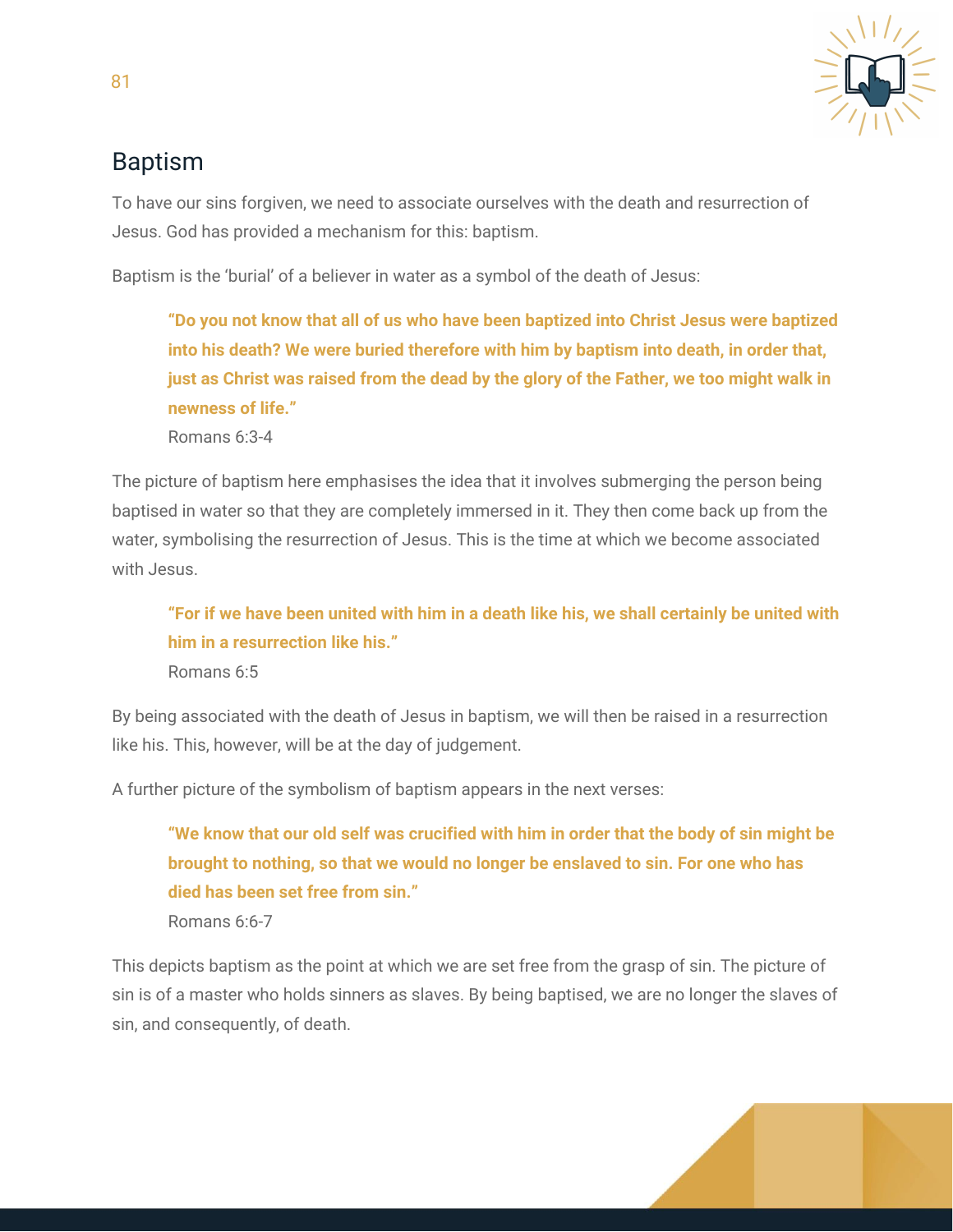

### Baptism

To have our sins forgiven, we need to associate ourselves with the death and resurrection of Jesus. God has provided a mechanism for this: baptism.

Baptism is the 'burial' of a believer in water as a symbol of the death of Jesus:

**"Do you not know that all of us who have been baptized into Christ Jesus were baptized into his death? We were buried therefore with him by baptism into death, in order that, just as Christ was raised from the dead by the glory of the Father, we too might walk in newness of life."**

Romans 6:3-4

The picture of baptism here emphasises the idea that it involves submerging the person being baptised in water so that they are completely immersed in it. They then come back up from the water, symbolising the resurrection of Jesus. This is the time at which we become associated with Jesus.

**"For if we have been united with him in a death like his, we shall certainly be united with him in a resurrection like his."**

Romans 6:5

By being associated with the death of Jesus in baptism, we will then be raised in a resurrection like his. This, however, will be at the day of judgement.

A further picture of the symbolism of baptism appears in the next verses:

**"We know that our old self was crucified with him in order that the body of sin might be brought to nothing, so that we would no longer be enslaved to sin. For one who has died has been set free from sin."** Romans 6:6-7

This depicts baptism as the point at which we are set free from the grasp of sin. The picture of sin is of a master who holds sinners as slaves. By being baptised, we are no longer the slaves of sin, and consequently, of death.

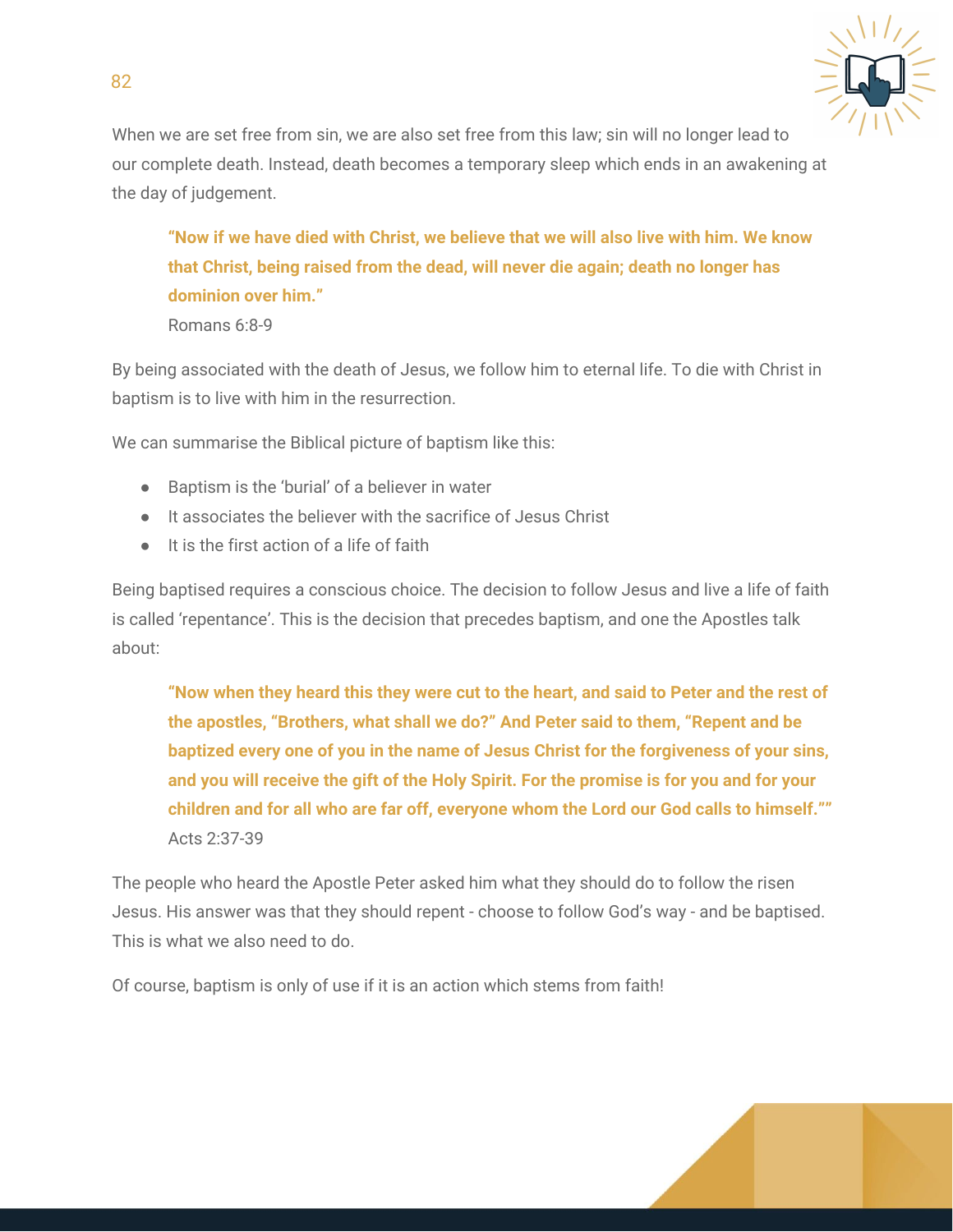

When we are set free from sin, we are also set free from this law; sin will no longer lead to our complete death. Instead, death becomes a temporary sleep which ends in an awakening at the day of judgement.

**"Now if we have died with Christ, we believe that we will also live with him. We know that Christ, being raised from the dead, will never die again; death no longer has dominion over him."**

Romans 6:8-9

By being associated with the death of Jesus, we follow him to eternal life. To die with Christ in baptism is to live with him in the resurrection.

We can summarise the Biblical picture of baptism like this:

- Baptism is the 'burial' of a believer in water
- It associates the believer with the sacrifice of Jesus Christ
- It is the first action of a life of faith

Being baptised requires a conscious choice. The decision to follow Jesus and live a life of faith is called 'repentance'. This is the decision that precedes baptism, and one the Apostles talk about:

**"Now when they heard this they were cut to the heart, and said to Peter and the rest of the apostles, "Brothers, what shall we do?" And Peter said to them, "Repent and be baptized every one of you in the name of Jesus Christ for the forgiveness of your sins, and you will receive the gift of the Holy Spirit. For the promise is for you and for your children and for all who are far off, everyone whom the Lord our God calls to himself.""** Acts 2:37-39

The people who heard the Apostle Peter asked him what they should do to follow the risen Jesus. His answer was that they should repent - choose to follow God's way - and be baptised. This is what we also need to do.

Of course, baptism is only of use if it is an action which stems from faith!

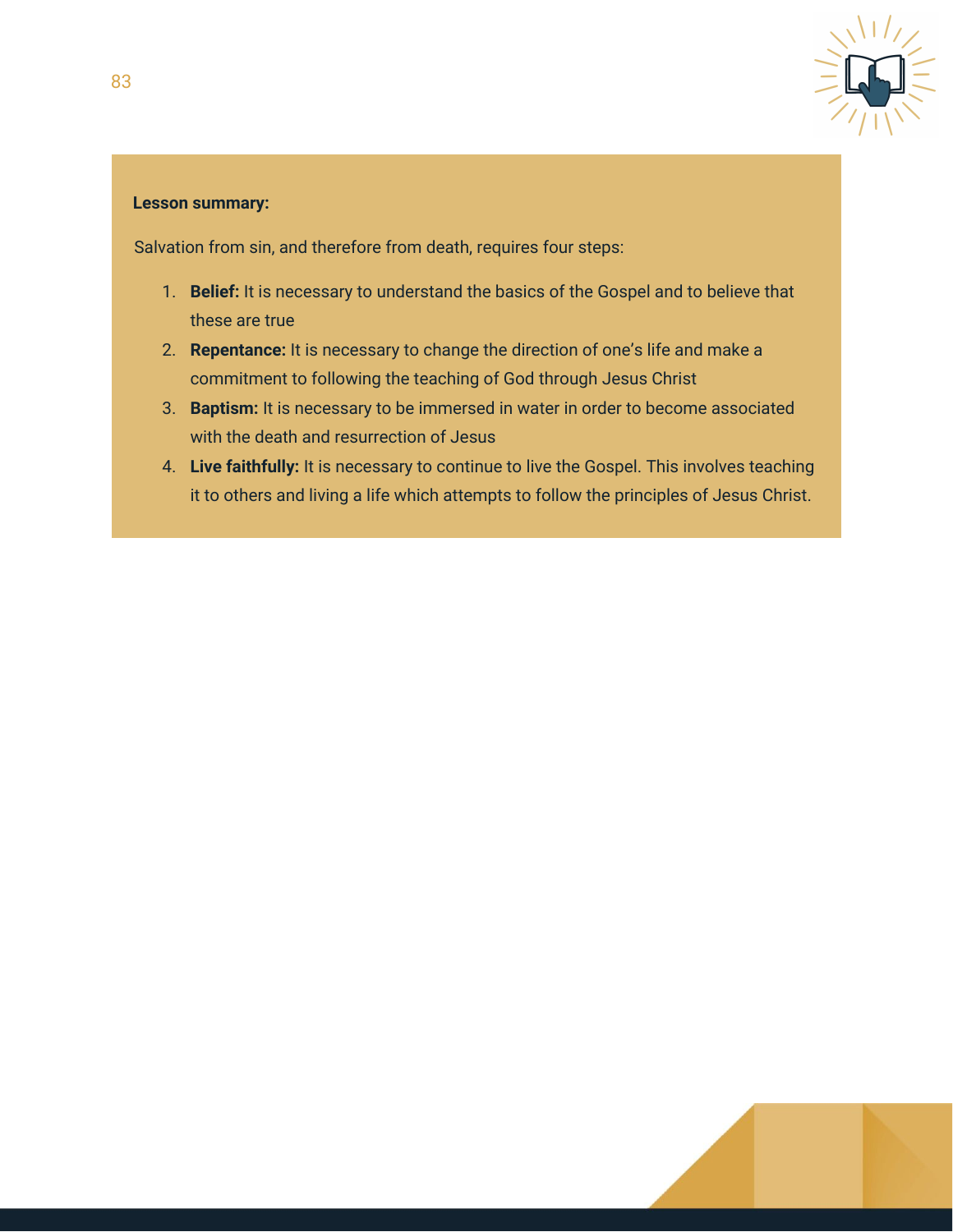

#### **Lesson summary:**

Salvation from sin, and therefore from death, requires four steps:

- 1. **Belief:** It is necessary to understand the basics of the Gospel and to believe that these are true
- 2. **Repentance:** It is necessary to change the direction of one's life and make a commitment to following the teaching of God through Jesus Christ
- 3. **Baptism:** It is necessary to be immersed in water in order to become associated with the death and resurrection of Jesus
- 4. **Live faithfully:** It is necessary to continue to live the Gospel. This involves teaching it to others and living a life which attempts to follow the principles of Jesus Christ.

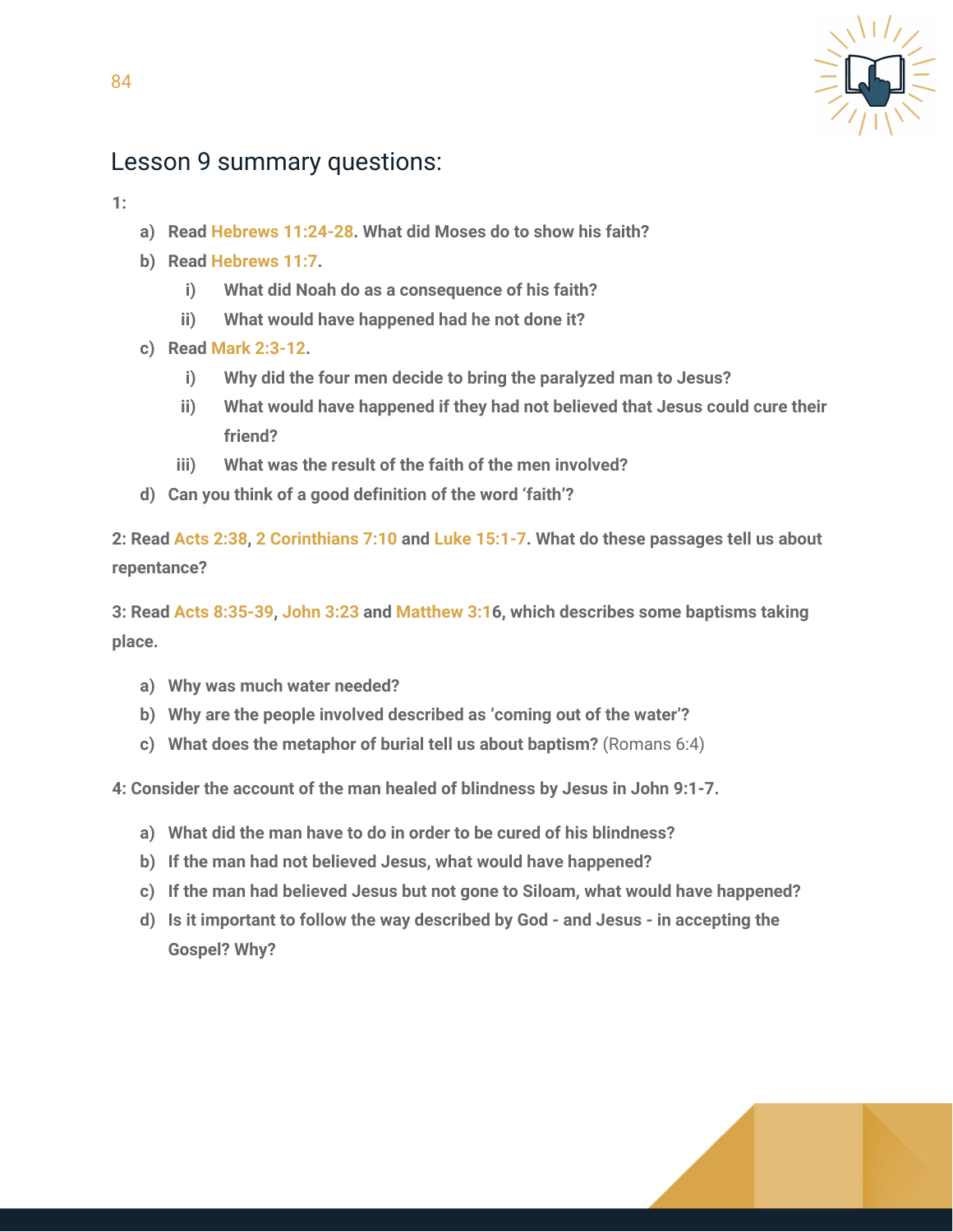

#### Lesson 9 summary questions:

**1:**

84

- **a) Read Hebrews 11:24-28. What did Moses do to show his faith?**
- **b) Read Hebrews 11:7.**
	- **i) What did Noah do as a consequence of his faith?**
	- **ii) What would have happened had he not done it?**
- **c) Read Mark 2:3-12.**
	- **i) Why did the four men decide to bring the paralyzed man to Jesus?**
	- **ii) What would have happened if they had not believed that Jesus could cure their friend?**
	- **iii) What was the result of the faith of the men involved?**
- **d) Can you think of a good definition of the word 'faith'?**

**2: Read Acts 2:38, 2 Corinthians 7:10 and Luke 15:1-7. What do these passages tell us about repentance?**

**3: Read Acts 8:35-39, John 3:23 and Matthew 3:16, which describes some baptisms taking place.**

- **a) Why was much water needed?**
- **b) Why are the people involved described as 'coming out of the water'?**
- **c) What does the metaphor of burial tell us about baptism?** (Romans 6:4)

**4: Consider the account of the man healed of blindness by Jesus in John 9:1-7.**

- **a) What did the man have to do in order to be cured of his blindness?**
- **b) If the man had not believed Jesus, what would have happened?**
- **c) If the man had believed Jesus but not gone to Siloam, what would have happened?**
- **d) Is it important to follow the way described by God - and Jesus - in accepting the Gospel? Why?**